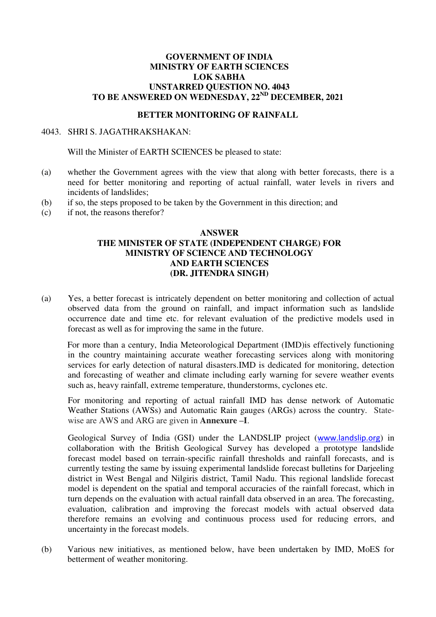## **GOVERNMENT OF INDIA MINISTRY OF EARTH SCIENCES LOK SABHA UNSTARRED QUESTION NO. 4043 TO BE ANSWERED ON WEDNESDAY, 22ND DECEMBER, 2021**

## **BETTER MONITORING OF RAINFALL**

## 4043. SHRI S. JAGATHRAKSHAKAN:

Will the Minister of EARTH SCIENCES be pleased to state:

- (a) whether the Government agrees with the view that along with better forecasts, there is a need for better monitoring and reporting of actual rainfall, water levels in rivers and incidents of landslides;
- (b) if so, the steps proposed to be taken by the Government in this direction; and
- (c) if not, the reasons therefor?

## **ANSWER THE MINISTER OF STATE (INDEPENDENT CHARGE) FOR MINISTRY OF SCIENCE AND TECHNOLOGY AND EARTH SCIENCES (DR. JITENDRA SINGH)**

(a) Yes, a better forecast is intricately dependent on better monitoring and collection of actual observed data from the ground on rainfall, and impact information such as landslide occurrence date and time etc. for relevant evaluation of the predictive models used in forecast as well as for improving the same in the future.

 For more than a century, India Meteorological Department (IMD)is effectively functioning in the country maintaining accurate weather forecasting services along with monitoring services for early detection of natural disasters.IMD is dedicated for monitoring, detection and forecasting of weather and climate including early warning for severe weather events such as, heavy rainfall, extreme temperature, thunderstorms, cyclones etc.

For monitoring and reporting of actual rainfall IMD has dense network of Automatic Weather Stations (AWSs) and Automatic Rain gauges (ARGs) across the country. Statewise are AWS and ARG are given in **Annexure –I**.

Geological Survey of India (GSI) under the LANDSLIP project ([www.landslip.org](http://www.landslip.org/)) in collaboration with the British Geological Survey has developed a prototype landslide forecast model based on terrain-specific rainfall thresholds and rainfall forecasts, and is currently testing the same by issuing experimental landslide forecast bulletins for Darjeeling district in West Bengal and Nilgiris district, Tamil Nadu. This regional landslide forecast model is dependent on the spatial and temporal accuracies of the rainfall forecast, which in turn depends on the evaluation with actual rainfall data observed in an area. The forecasting, evaluation, calibration and improving the forecast models with actual observed data therefore remains an evolving and continuous process used for reducing errors, and uncertainty in the forecast models.

(b) Various new initiatives, as mentioned below, have been undertaken by IMD, MoES for betterment of weather monitoring.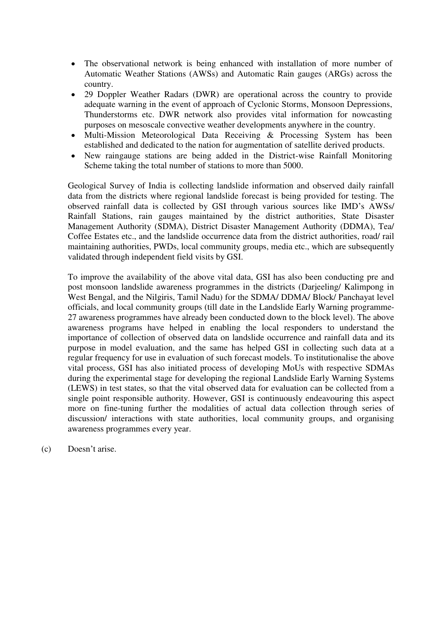- The observational network is being enhanced with installation of more number of Automatic Weather Stations (AWSs) and Automatic Rain gauges (ARGs) across the country.
- 29 Doppler Weather Radars (DWR) are operational across the country to provide adequate warning in the event of approach of Cyclonic Storms, Monsoon Depressions, Thunderstorms etc. DWR network also provides vital information for nowcasting purposes on mesoscale convective weather developments anywhere in the country.
- Multi-Mission Meteorological Data Receiving & Processing System has been established and dedicated to the nation for augmentation of satellite derived products.
- New raingauge stations are being added in the District-wise Rainfall Monitoring Scheme taking the total number of stations to more than 5000.

Geological Survey of India is collecting landslide information and observed daily rainfall data from the districts where regional landslide forecast is being provided for testing. The observed rainfall data is collected by GSI through various sources like IMD's AWSs/ Rainfall Stations, rain gauges maintained by the district authorities, State Disaster Management Authority (SDMA), District Disaster Management Authority (DDMA), Tea/ Coffee Estates etc., and the landslide occurrence data from the district authorities, road/ rail maintaining authorities, PWDs, local community groups, media etc., which are subsequently validated through independent field visits by GSI.

To improve the availability of the above vital data, GSI has also been conducting pre and post monsoon landslide awareness programmes in the districts (Darjeeling/ Kalimpong in West Bengal, and the Nilgiris, Tamil Nadu) for the SDMA/ DDMA/ Block/ Panchayat level officials, and local community groups (till date in the Landslide Early Warning programme-27 awareness programmes have already been conducted down to the block level). The above awareness programs have helped in enabling the local responders to understand the importance of collection of observed data on landslide occurrence and rainfall data and its purpose in model evaluation, and the same has helped GSI in collecting such data at a regular frequency for use in evaluation of such forecast models. To institutionalise the above vital process, GSI has also initiated process of developing MoUs with respective SDMAs during the experimental stage for developing the regional Landslide Early Warning Systems (LEWS) in test states, so that the vital observed data for evaluation can be collected from a single point responsible authority. However, GSI is continuously endeavouring this aspect more on fine-tuning further the modalities of actual data collection through series of discussion/ interactions with state authorities, local community groups, and organising awareness programmes every year.

(c) Doesn't arise.